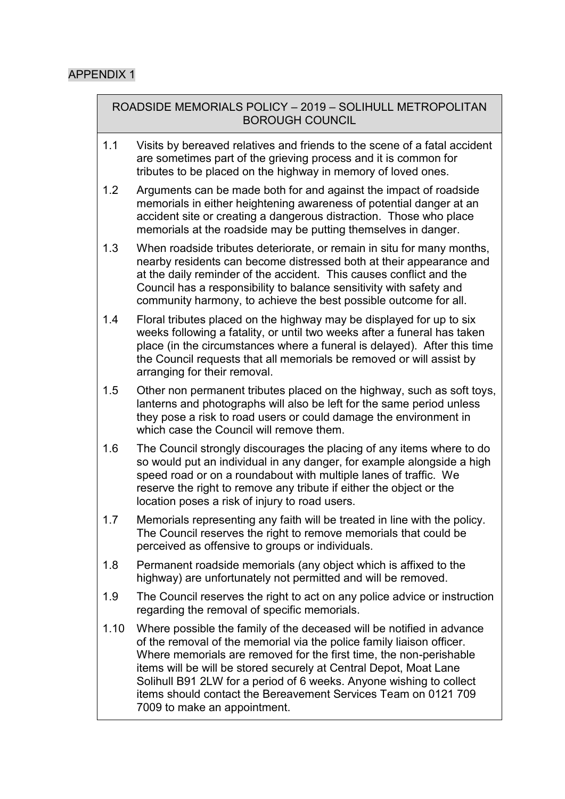ROADSIDE MEMORIALS POLICY – 2019 – SOLIHULL METROPOLITAN BOROUGH COUNCIL

- 1.1 Visits by bereaved relatives and friends to the scene of a fatal accident are sometimes part of the grieving process and it is common for tributes to be placed on the highway in memory of loved ones.
- 1.2 Arguments can be made both for and against the impact of roadside memorials in either heightening awareness of potential danger at an accident site or creating a dangerous distraction. Those who place memorials at the roadside may be putting themselves in danger.
- 1.3 When roadside tributes deteriorate, or remain in situ for many months, nearby residents can become distressed both at their appearance and at the daily reminder of the accident. This causes conflict and the Council has a responsibility to balance sensitivity with safety and community harmony, to achieve the best possible outcome for all.
- 1.4 Floral tributes placed on the highway may be displayed for up to six weeks following a fatality, or until two weeks after a funeral has taken place (in the circumstances where a funeral is delayed). After this time the Council requests that all memorials be removed or will assist by arranging for their removal.
- 1.5 Other non permanent tributes placed on the highway, such as soft toys, lanterns and photographs will also be left for the same period unless they pose a risk to road users or could damage the environment in which case the Council will remove them.
- 1.6 The Council strongly discourages the placing of any items where to do so would put an individual in any danger, for example alongside a high speed road or on a roundabout with multiple lanes of traffic. We reserve the right to remove any tribute if either the object or the location poses a risk of injury to road users.
- 1.7 Memorials representing any faith will be treated in line with the policy. The Council reserves the right to remove memorials that could be perceived as offensive to groups or individuals.
- 1.8 Permanent roadside memorials (any object which is affixed to the highway) are unfortunately not permitted and will be removed.
- 1.9 The Council reserves the right to act on any police advice or instruction regarding the removal of specific memorials.
- 1.10 Where possible the family of the deceased will be notified in advance of the removal of the memorial via the police family liaison officer. Where memorials are removed for the first time, the non-perishable items will be will be stored securely at Central Depot, Moat Lane Solihull B91 2LW for a period of 6 weeks. Anyone wishing to collect items should contact the Bereavement Services Team on 0121 709 7009 to make an appointment.